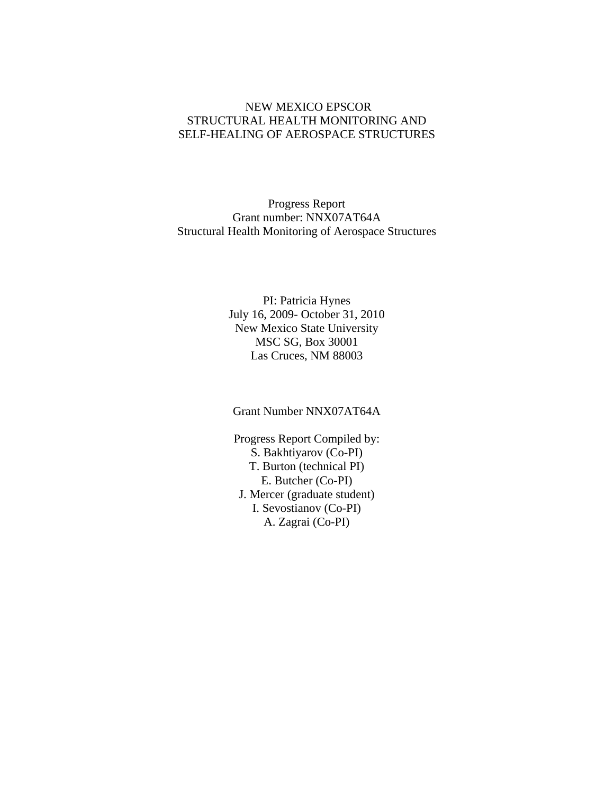#### NEW MEXICO EPSCOR STRUCTURAL HEALTH MONITORING AND SELF-HEALING OF AEROSPACE STRUCTURES

Progress Report Grant number: NNX07AT64A Structural Health Monitoring of Aerospace Structures

> PI: Patricia Hynes July 16, 2009- October 31, 2010 New Mexico State University MSC SG, Box 30001 Las Cruces, NM 88003

Grant Number NNX07AT64A

Progress Report Compiled by: S. Bakhtiyarov (Co-PI) T. Burton (technical PI) E. Butcher (Co-PI) J. Mercer (graduate student) I. Sevostianov (Co-PI) A. Zagrai (Co-PI)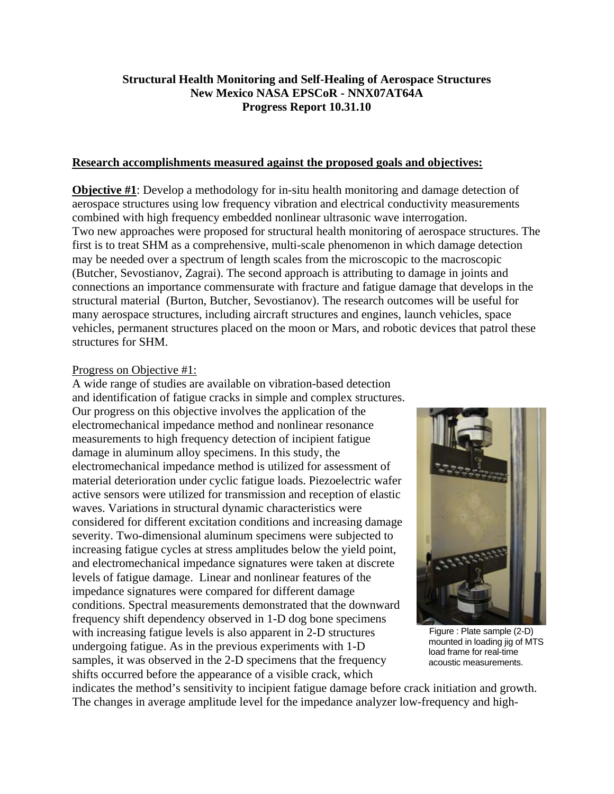## **Structural Health Monitoring and Self-Healing of Aerospace Structures New Mexico NASA EPSCoR - NNX07AT64A Progress Report 10.31.10**

#### **Research accomplishments measured against the proposed goals and objectives:**

**Objective #1**: Develop a methodology for in-situ health monitoring and damage detection of aerospace structures using low frequency vibration and electrical conductivity measurements combined with high frequency embedded nonlinear ultrasonic wave interrogation. Two new approaches were proposed for structural health monitoring of aerospace structures. The first is to treat SHM as a comprehensive, multi-scale phenomenon in which damage detection may be needed over a spectrum of length scales from the microscopic to the macroscopic (Butcher, Sevostianov, Zagrai). The second approach is attributing to damage in joints and connections an importance commensurate with fracture and fatigue damage that develops in the structural material (Burton, Butcher, Sevostianov). The research outcomes will be useful for many aerospace structures, including aircraft structures and engines, launch vehicles, space vehicles, permanent structures placed on the moon or Mars, and robotic devices that patrol these structures for SHM.

#### Progress on Objective #1:

A wide range of studies are available on vibration-based detection and identification of fatigue cracks in simple and complex structures. Our progress on this objective involves the application of the electromechanical impedance method and nonlinear resonance measurements to high frequency detection of incipient fatigue damage in aluminum alloy specimens. In this study, the electromechanical impedance method is utilized for assessment of material deterioration under cyclic fatigue loads. Piezoelectric wafer active sensors were utilized for transmission and reception of elastic waves. Variations in structural dynamic characteristics were considered for different excitation conditions and increasing damage severity. Two-dimensional aluminum specimens were subjected to increasing fatigue cycles at stress amplitudes below the yield point, and electromechanical impedance signatures were taken at discrete levels of fatigue damage. Linear and nonlinear features of the impedance signatures were compared for different damage conditions. Spectral measurements demonstrated that the downward frequency shift dependency observed in 1-D dog bone specimens with increasing fatigue levels is also apparent in 2-D structures undergoing fatigue. As in the previous experiments with 1-D samples, it was observed in the 2-D specimens that the frequency shifts occurred before the appearance of a visible crack, which



 Figure : Plate sample (2-D) mounted in loading jig of MTS load frame for real-time acoustic measurements.

indicates the method's sensitivity to incipient fatigue damage before crack initiation and growth. The changes in average amplitude level for the impedance analyzer low-frequency and high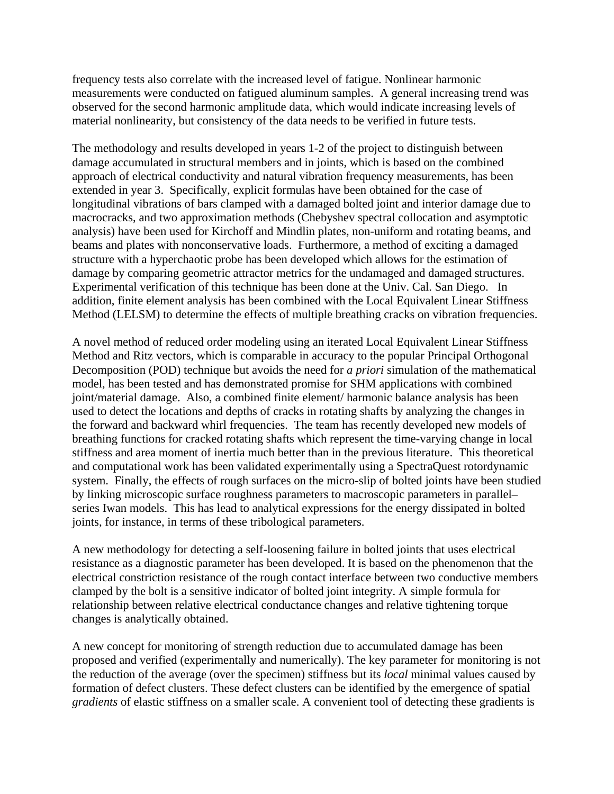frequency tests also correlate with the increased level of fatigue. Nonlinear harmonic measurements were conducted on fatigued aluminum samples. A general increasing trend was observed for the second harmonic amplitude data, which would indicate increasing levels of material nonlinearity, but consistency of the data needs to be verified in future tests.

The methodology and results developed in years 1-2 of the project to distinguish between damage accumulated in structural members and in joints, which is based on the combined approach of electrical conductivity and natural vibration frequency measurements, has been extended in year 3. Specifically, explicit formulas have been obtained for the case of longitudinal vibrations of bars clamped with a damaged bolted joint and interior damage due to macrocracks, and two approximation methods (Chebyshev spectral collocation and asymptotic analysis) have been used for Kirchoff and Mindlin plates, non-uniform and rotating beams, and beams and plates with nonconservative loads. Furthermore, a method of exciting a damaged structure with a hyperchaotic probe has been developed which allows for the estimation of damage by comparing geometric attractor metrics for the undamaged and damaged structures. Experimental verification of this technique has been done at the Univ. Cal. San Diego. In addition, finite element analysis has been combined with the Local Equivalent Linear Stiffness Method (LELSM) to determine the effects of multiple breathing cracks on vibration frequencies.

A novel method of reduced order modeling using an iterated Local Equivalent Linear Stiffness Method and Ritz vectors, which is comparable in accuracy to the popular Principal Orthogonal Decomposition (POD) technique but avoids the need for *a priori* simulation of the mathematical model, has been tested and has demonstrated promise for SHM applications with combined joint/material damage. Also, a combined finite element/ harmonic balance analysis has been used to detect the locations and depths of cracks in rotating shafts by analyzing the changes in the forward and backward whirl frequencies. The team has recently developed new models of breathing functions for cracked rotating shafts which represent the time-varying change in local stiffness and area moment of inertia much better than in the previous literature. This theoretical and computational work has been validated experimentally using a SpectraQuest rotordynamic system. Finally, the effects of rough surfaces on the micro-slip of bolted joints have been studied by linking microscopic surface roughness parameters to macroscopic parameters in parallel– series Iwan models. This has lead to analytical expressions for the energy dissipated in bolted joints, for instance, in terms of these tribological parameters.

A new methodology for detecting a self-loosening failure in bolted joints that uses electrical resistance as a diagnostic parameter has been developed. It is based on the phenomenon that the electrical constriction resistance of the rough contact interface between two conductive members clamped by the bolt is a sensitive indicator of bolted joint integrity. A simple formula for relationship between relative electrical conductance changes and relative tightening torque changes is analytically obtained.

A new concept for monitoring of strength reduction due to accumulated damage has been proposed and verified (experimentally and numerically). The key parameter for monitoring is not the reduction of the average (over the specimen) stiffness but its *local* minimal values caused by formation of defect clusters. These defect clusters can be identified by the emergence of spatial *gradients* of elastic stiffness on a smaller scale. A convenient tool of detecting these gradients is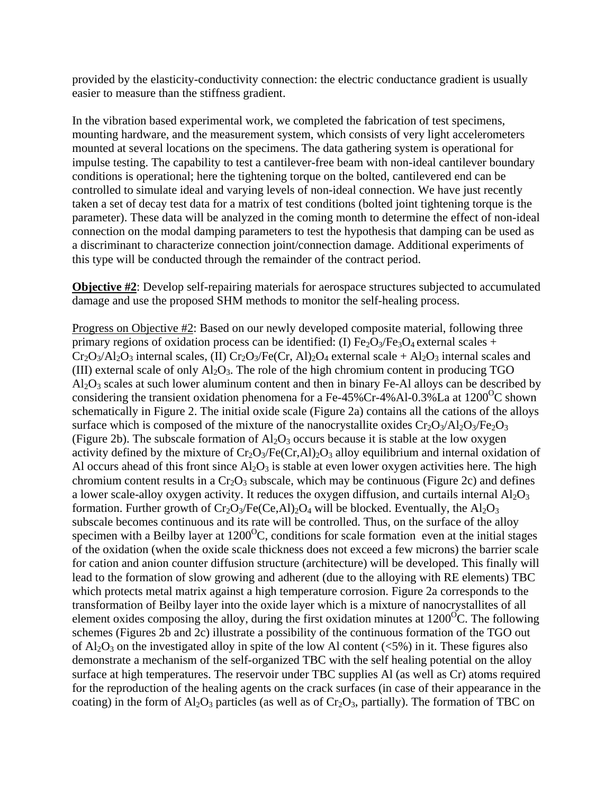provided by the elasticity-conductivity connection: the electric conductance gradient is usually easier to measure than the stiffness gradient.

In the vibration based experimental work, we completed the fabrication of test specimens, mounting hardware, and the measurement system, which consists of very light accelerometers mounted at several locations on the specimens. The data gathering system is operational for impulse testing. The capability to test a cantilever-free beam with non-ideal cantilever boundary conditions is operational; here the tightening torque on the bolted, cantilevered end can be controlled to simulate ideal and varying levels of non-ideal connection. We have just recently taken a set of decay test data for a matrix of test conditions (bolted joint tightening torque is the parameter). These data will be analyzed in the coming month to determine the effect of non-ideal connection on the modal damping parameters to test the hypothesis that damping can be used as a discriminant to characterize connection joint/connection damage. Additional experiments of this type will be conducted through the remainder of the contract period.

**Objective #2**: Develop self-repairing materials for aerospace structures subjected to accumulated damage and use the proposed SHM methods to monitor the self-healing process.

Progress on Objective #2: Based on our newly developed composite material, following three primary regions of oxidation process can be identified: (I)  $Fe<sub>2</sub>O<sub>3</sub>/Fe<sub>3</sub>O<sub>4</sub>$  external scales +  $Cr_2O_3/Al_2O_3$  internal scales, (II)  $Cr_2O_3/Fe(Cr, Al)_2O_4$  external scale + Al<sub>2</sub>O<sub>3</sub> internal scales and (III) external scale of only  $Al_2O_3$ . The role of the high chromium content in producing TGO  $Al_2O_3$  scales at such lower aluminum content and then in binary Fe-Al alloys can be described by considering the transient oxidation phenomena for a Fe-45%Cr-4%Al-0.3%La at  $1200^{\circ}$ C shown schematically in Figure 2. The initial oxide scale (Figure 2a) contains all the cations of the alloys surface which is composed of the mixture of the nanocrystallite oxides  $Cr_2O_3/Al_2O_3/Fe_2O_3$ (Figure 2b). The subscale formation of  $Al_2O_3$  occurs because it is stable at the low oxygen activity defined by the mixture of  $Cr_2O_3/Fe(Cr,A)/O_3$  alloy equilibrium and internal oxidation of Al occurs ahead of this front since  $A_1O_3$  is stable at even lower oxygen activities here. The high chromium content results in a  $Cr_2O_3$  subscale, which may be continuous (Figure 2c) and defines a lower scale-alloy oxygen activity. It reduces the oxygen diffusion, and curtails internal  $Al_2O_3$ formation. Further growth of  $Cr_2O_3/Fe(Ce, Al)_2O_4$  will be blocked. Eventually, the  $Al_2O_3$ subscale becomes continuous and its rate will be controlled. Thus, on the surface of the alloy specimen with a Beilby layer at  $1200^{\circ}$ C, conditions for scale formation even at the initial stages of the oxidation (when the oxide scale thickness does not exceed a few microns) the barrier scale for cation and anion counter diffusion structure (architecture) will be developed. This finally will lead to the formation of slow growing and adherent (due to the alloying with RE elements) TBC which protects metal matrix against a high temperature corrosion. Figure 2a corresponds to the transformation of Beilby layer into the oxide layer which is a mixture of nanocrystallites of all element oxides composing the alloy, during the first oxidation minutes at  $1200^{\circ}$ C. The following schemes (Figures 2b and 2c) illustrate a possibility of the continuous formation of the TGO out of  $Al_2O_3$  on the investigated alloy in spite of the low Al content ( $\langle 5\%$ ) in it. These figures also demonstrate a mechanism of the self-organized TBC with the self healing potential on the alloy surface at high temperatures. The reservoir under TBC supplies Al (as well as Cr) atoms required for the reproduction of the healing agents on the crack surfaces (in case of their appearance in the coating) in the form of  $A_2O_3$  particles (as well as of  $Cr_2O_3$ , partially). The formation of TBC on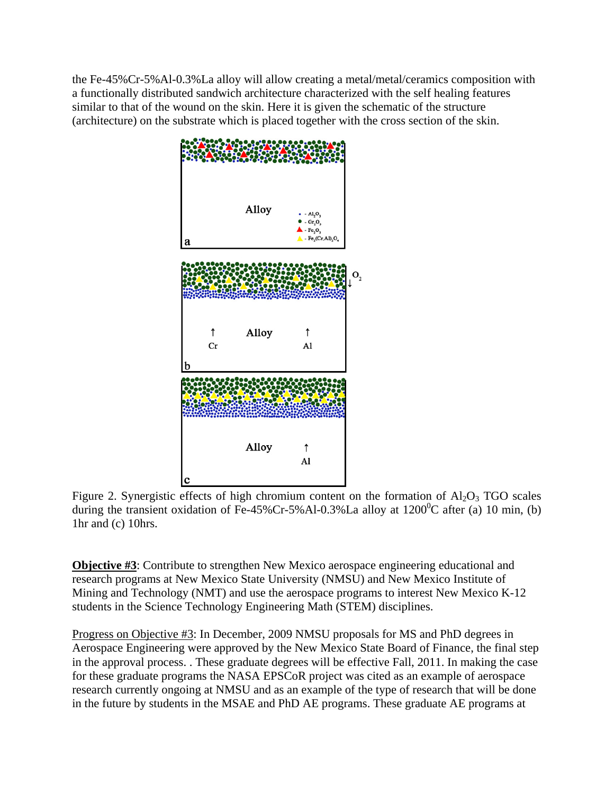the Fe-45%Cr-5%Al-0.3%La alloy will allow creating a metal/metal/ceramics composition with a functionally distributed sandwich architecture characterized with the self healing features similar to that of the wound on the skin. Here it is given the schematic of the structure (architecture) on the substrate which is placed together with the cross section of the skin.



Figure 2. Synergistic effects of high chromium content on the formation of  $Al_2O_3$  TGO scales during the transient oxidation of Fe-45%Cr-5%Al-0.3%La alloy at  $1200^{\circ}$ C after (a) 10 min, (b) 1hr and (c) 10hrs.

**Objective #3**: Contribute to strengthen New Mexico aerospace engineering educational and research programs at New Mexico State University (NMSU) and New Mexico Institute of Mining and Technology (NMT) and use the aerospace programs to interest New Mexico K-12 students in the Science Technology Engineering Math (STEM) disciplines.

Progress on Objective #3: In December, 2009 NMSU proposals for MS and PhD degrees in Aerospace Engineering were approved by the New Mexico State Board of Finance, the final step in the approval process. . These graduate degrees will be effective Fall, 2011. In making the case for these graduate programs the NASA EPSCoR project was cited as an example of aerospace research currently ongoing at NMSU and as an example of the type of research that will be done in the future by students in the MSAE and PhD AE programs. These graduate AE programs at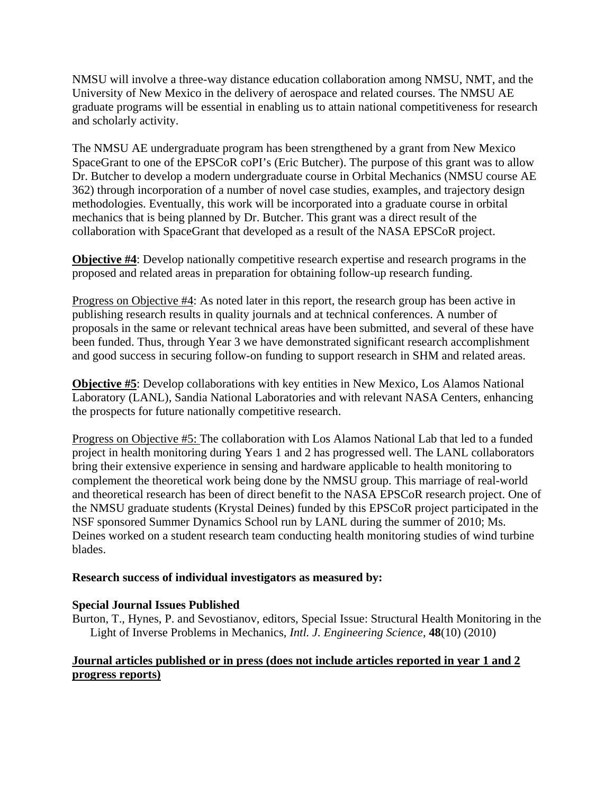NMSU will involve a three-way distance education collaboration among NMSU, NMT, and the University of New Mexico in the delivery of aerospace and related courses. The NMSU AE graduate programs will be essential in enabling us to attain national competitiveness for research and scholarly activity.

The NMSU AE undergraduate program has been strengthened by a grant from New Mexico SpaceGrant to one of the EPSCoR coPI's (Eric Butcher). The purpose of this grant was to allow Dr. Butcher to develop a modern undergraduate course in Orbital Mechanics (NMSU course AE 362) through incorporation of a number of novel case studies, examples, and trajectory design methodologies. Eventually, this work will be incorporated into a graduate course in orbital mechanics that is being planned by Dr. Butcher. This grant was a direct result of the collaboration with SpaceGrant that developed as a result of the NASA EPSCoR project.

**Objective #4**: Develop nationally competitive research expertise and research programs in the proposed and related areas in preparation for obtaining follow-up research funding.

Progress on Objective #4: As noted later in this report, the research group has been active in publishing research results in quality journals and at technical conferences. A number of proposals in the same or relevant technical areas have been submitted, and several of these have been funded. Thus, through Year 3 we have demonstrated significant research accomplishment and good success in securing follow-on funding to support research in SHM and related areas.

**Objective #5**: Develop collaborations with key entities in New Mexico, Los Alamos National Laboratory (LANL), Sandia National Laboratories and with relevant NASA Centers, enhancing the prospects for future nationally competitive research.

Progress on Objective #5: The collaboration with Los Alamos National Lab that led to a funded project in health monitoring during Years 1 and 2 has progressed well. The LANL collaborators bring their extensive experience in sensing and hardware applicable to health monitoring to complement the theoretical work being done by the NMSU group. This marriage of real-world and theoretical research has been of direct benefit to the NASA EPSCoR research project. One of the NMSU graduate students (Krystal Deines) funded by this EPSCoR project participated in the NSF sponsored Summer Dynamics School run by LANL during the summer of 2010; Ms. Deines worked on a student research team conducting health monitoring studies of wind turbine blades.

#### **Research success of individual investigators as measured by:**

## **Special Journal Issues Published**

Burton, T., Hynes, P. and Sevostianov, editors, Special Issue: Structural Health Monitoring in the Light of Inverse Problems in Mechanics, *Intl. J. Engineering Science*, **48**(10) (2010)

## **Journal articles published or in press (does not include articles reported in year 1 and 2 progress reports)**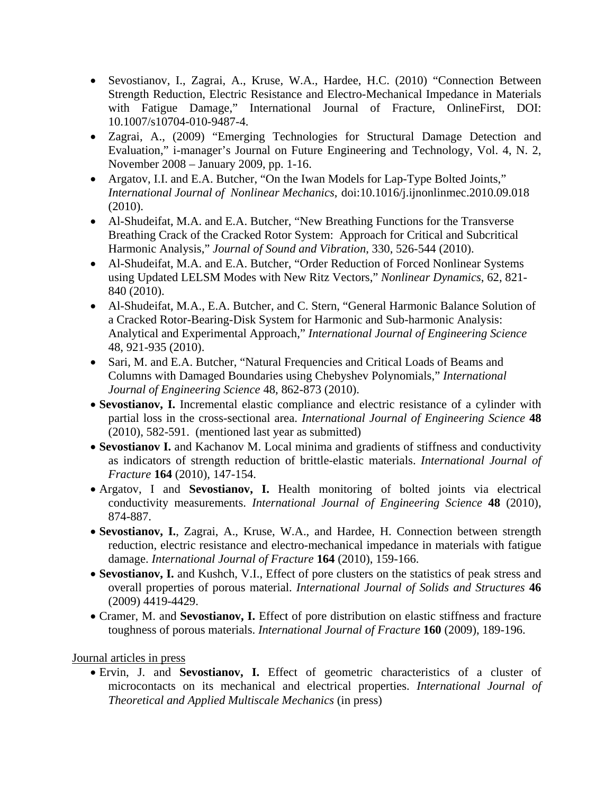- Sevostianov, I., Zagrai, A., Kruse, W.A., Hardee, H.C. (2010) "Connection Between Strength Reduction, Electric Resistance and Electro-Mechanical Impedance in Materials with Fatigue Damage," International Journal of Fracture, OnlineFirst, DOI: 1 0.1007/s107 704-010-948 7-4.
- Zagrai, A., (2009) "Emerging Technologies for Structural Damage Detection and Evaluation," i-manager's Journal on Future Engineering and Technology, Vol. 4, N. 2, November 2008 – January 2009, pp. 1-16.
- Argatov, I.I. and E.A. Butcher, "On the Iwan Models for Lap-Type Bolted Joints," *International Journal of Nonlinear Mechanics*, doi:10.1016/j.ijnonlinmec.2010.09.018 (2 2010).
- Al-Shudeifat, M.A. and E.A. Butcher, "New Breathing Functions for the Transverse Breathing Crack of the Cracked Rotor System: Approach for Critical and Subcritical Harmonic Analysis," Journal of Sound and Vibration, 330, 526-544 (2010). Breathing Crack of the Cracked Rotor System: Approach for Critical and Subcritical<br>Harmonic Analysis," Journal of Sound and Vibration, 330, 526-544 (2010).<br>• Al-Shudeifat, M.A. and E.A. Butcher, "Order Reduction of Forced
- using Updated LELSM Modes with New Ritz Vectors," Nonlinear Dynamics, 62, 821-84 40 (2010).
- Al-Shudeifat, M.A., E.A. Butcher, and C. Stern, "General Harmonic Balance Solution of a Cracked Rotor-Bearing-Disk System for Harmonic and Sub-harmonic Analysis: Analytical and Experimental Approach," *International Journal of Engineering Science* 4 8, 921-935 ( (2010).
- Sari, M. and E.A. Butcher, "Natural Frequencies and Critical Loads of Beams and Columns with Damaged Boundaries using Chebyshev Polynomials," International Journal of Engineering Science 48, 862-873 (2010).
- Sevostianov, I. Incremental elastic compliance and electric resistance of a cylinder with partial loss in the cross-sectional area. *International Journal of Engineering Science* 48 (2010), 582-591. (mentioned last year as submitted)
- Sevostianov I. and Kachanov M. Local minima and gradients of stiffness and conductivity as indicators of strength reduction of brittle-elastic materials. International Journal of *F Fracture* **164** (2010), 147 7-154.
- Argatov, I and Sevostianov, I. Health monitoring of bolted joints via electrical conductivity measurements. *International Journal of Engineering Science* 48 (2010), 8 74-887.
- Sevostianov, I., Zagrai, A., Kruse, W.A., and Hardee, H. Connection between strength reduction, electric resistance and electro-mechanical impedance in materials with fatigue damage. International Journal of Fracture 164 (2010), 159-166.
- Sevostianov, I. and Kushch, V.I., Effect of pore clusters on the statistics of peak stress and overall properties of porous material. International Journal of Solids and Structures 46 (2 2009) 4419-4 4429.
- Cramer, M. and Sevostianov, I. Effect of pore distribution on elastic stiffness and fracture toughness of porous materials. *International Journal of Fracture* 160 (2009), 189-196.

## Journal articles in press

· Ervin, J. and Sevostianov, I. Effect of geometric characteristics of a cluster of microcontacts on its mechanical and electrical properties. International Journal of **Theoretical and Applied Multiscale Mechanics (in press)**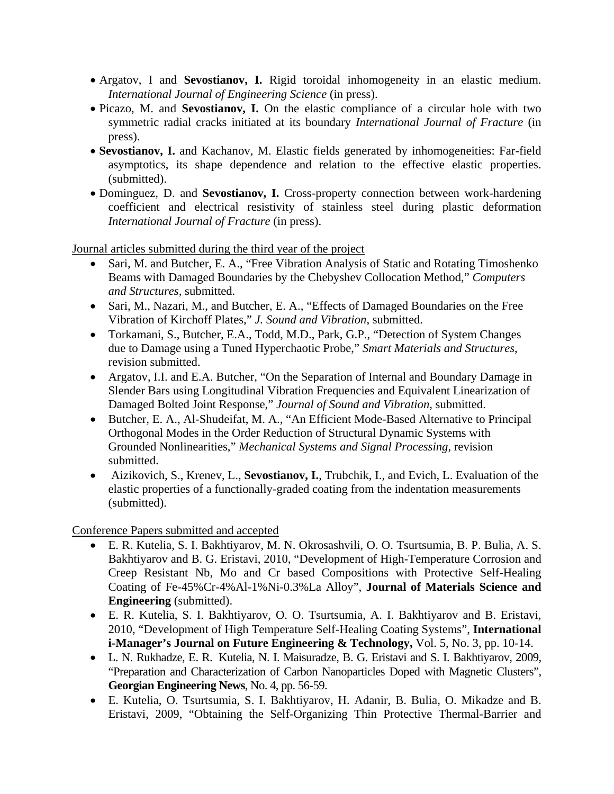- Argatov, I and **Sevostianov, I.** Rigid toroidal inhomogeneity in an elastic medium. *International Journal of Engineering Science* (in press).
- Picazo, M. and **Sevostianov, I.** On the elastic compliance of a circular hole with two symmetric radial cracks initiated at its boundary *International Journal of Fracture* (in press).
- **Sevostianov, I.** and Kachanov, M. Elastic fields generated by inhomogeneities: Far-field asymptotics, its shape dependence and relation to the effective elastic properties. (submitted).
- Dominguez, D. and **Sevostianov, I.** Cross-property connection between work-hardening coefficient and electrical resistivity of stainless steel during plastic deformation *International Journal of Fracture* (in press).

Journal articles submitted during the third year of the project

- Sari, M. and Butcher, E. A., "Free Vibration Analysis of Static and Rotating Timoshenko Beams with Damaged Boundaries by the Chebyshev Collocation Method," *Computers and Structures*, submitted.
- Sari, M., Nazari, M., and Butcher, E. A., "Effects of Damaged Boundaries on the Free Vibration of Kirchoff Plates," *J. Sound and Vibration*, submitted.
- Torkamani, S., Butcher, E.A., Todd, M.D., Park, G.P., "Detection of System Changes due to Damage using a Tuned Hyperchaotic Probe," *Smart Materials and Structures*, revision submitted.
- Argatov, I.I. and E.A. Butcher, "On the Separation of Internal and Boundary Damage in Slender Bars using Longitudinal Vibration Frequencies and Equivalent Linearization of Damaged Bolted Joint Response," *Journal of Sound and Vibration*, submitted.
- Butcher, E. A., Al-Shudeifat, M. A., "An Efficient Mode-Based Alternative to Principal Orthogonal Modes in the Order Reduction of Structural Dynamic Systems with Grounded Nonlinearities," *Mechanical Systems and Signal Processing*, revision submitted.
- Aizikovich, S., Krenev, L., **Sevostianov, I.**, Trubchik, I., and Evich, L. Evaluation of the elastic properties of a functionally-graded coating from the indentation measurements (submitted).

Conference Papers submitted and accepted

- E. R. Kutelia, S. I. Bakhtiyarov, M. N. Okrosashvili, O. O. Tsurtsumia, B. P. Bulia, A. S. Bakhtiyarov and B. G. Eristavi, 2010, "Development of High-Temperature Corrosion and Creep Resistant Nb, Mo and Cr based Compositions with Protective Self-Healing Coating of Fe-45%Cr-4%Al-1%Ni-0.3%La Alloy", **Journal of Materials Science and Engineering** (submitted).
- E. R. Kutelia, S. I. Bakhtiyarov, O. O. Tsurtsumia, A. I. Bakhtiyarov and B. Eristavi, 2010, "Development of High Temperature Self-Healing Coating Systems", **International i-Manager's Journal on Future Engineering & Technology,** Vol. 5, No. 3, pp. 10-14.
- L. N. Rukhadze, E. R. Kutelia, N. I. Maisuradze, B. G. Eristavi and S. I. Bakhtiyarov, 2009, "Preparation and Characterization of Carbon Nanoparticles Doped with Magnetic Clusters", **Georgian Engineering News**, No. 4, pp. 56-59.
- E. Kutelia, O. Tsurtsumia, S. I. Bakhtiyarov, H. Adanir, B. Bulia, O. Mikadze and B. Eristavi, 2009, "Obtaining the Self-Organizing Thin Protective Thermal-Barrier and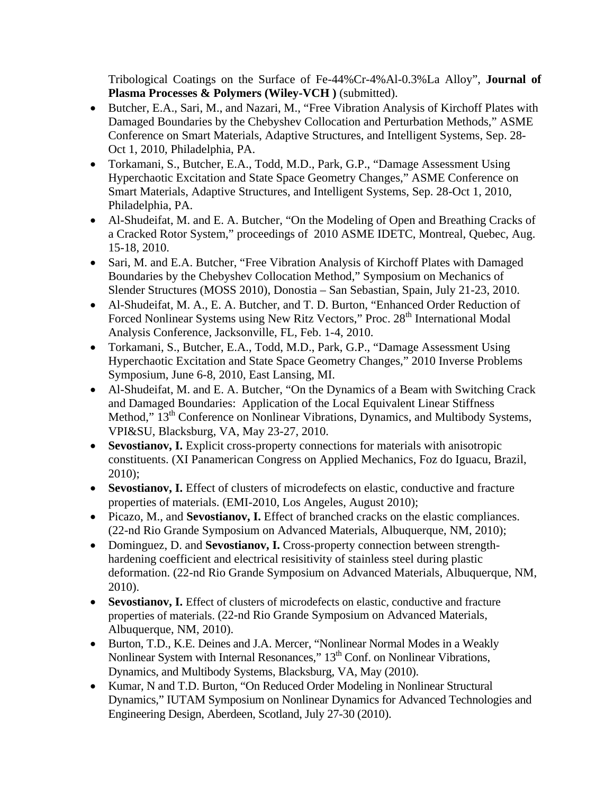Tribological Coatings on the Surface of Fe-44%Cr-4%Al-0.3%La Alloy", **Journal of Plasma Processes & Polymers (Wiley-VCH )** (submitted).

- Butcher, E.A., Sari, M., and Nazari, M., "Free Vibration Analysis of Kirchoff Plates with Damaged Boundaries by the Chebyshev Collocation and Perturbation Methods," ASME Conference on Smart Materials, Adaptive Structures, and Intelligent Systems, Sep. 28- Oct 1, 2010, Philadelphia, PA.
- Torkamani, S., Butcher, E.A., Todd, M.D., Park, G.P., "Damage Assessment Using Hyperchaotic Excitation and State Space Geometry Changes," ASME Conference on Smart Materials, Adaptive Structures, and Intelligent Systems, Sep. 28-Oct 1, 2010, Philadelphia, PA.
- Al-Shudeifat, M. and E. A. Butcher, "On the Modeling of Open and Breathing Cracks of a Cracked Rotor System," proceedings of 2010 ASME IDETC, Montreal, Quebec, Aug. 15-18, 2010.
- Sari, M. and E.A. Butcher, "Free Vibration Analysis of Kirchoff Plates with Damaged Boundaries by the Chebyshev Collocation Method," Symposium on Mechanics of Slender Structures (MOSS 2010), Donostia – San Sebastian, Spain, July 21-23, 2010.
- Al-Shudeifat, M. A., E. A. Butcher, and T. D. Burton, "Enhanced Order Reduction of Forced Nonlinear Systems using New Ritz Vectors," Proc. 28<sup>th</sup> International Modal Analysis Conference, Jacksonville, FL, Feb. 1-4, 2010.
- Torkamani, S., Butcher, E.A., Todd, M.D., Park, G.P., "Damage Assessment Using Hyperchaotic Excitation and State Space Geometry Changes," 2010 Inverse Problems Symposium, June 6-8, 2010, East Lansing, MI.
- Al-Shudeifat, M. and E. A. Butcher, "On the Dynamics of a Beam with Switching Crack and Damaged Boundaries: Application of the Local Equivalent Linear Stiffness Method,"  $13<sup>th</sup>$  Conference on Nonlinear Vibrations, Dynamics, and Multibody Systems, VPI&SU, Blacksburg, VA, May 23-27, 2010.
- Sevostianov, I. Explicit cross-property connections for materials with anisotropic constituents. (XI Panamerican Congress on Applied Mechanics, Foz do Iguacu, Brazil, 2010);
- **Sevostianov, I.** Effect of clusters of microdefects on elastic, conductive and fracture properties of materials. (EMI-2010, Los Angeles, August 2010);
- Picazo, M., and **Sevostianov, I.** Effect of branched cracks on the elastic compliances. (22-nd Rio Grande Symposium on Advanced Materials, Albuquerque, NM, 2010);
- Dominguez, D. and **Sevostianov, I.** Cross-property connection between strengthhardening coefficient and electrical resisitivity of stainless steel during plastic deformation. (22-nd Rio Grande Symposium on Advanced Materials, Albuquerque, NM, 2010).
- **Sevostianov, I.** Effect of clusters of microdefects on elastic, conductive and fracture properties of materials. (22-nd Rio Grande Symposium on Advanced Materials, Albuquerque, NM, 2010).
- Burton, T.D., K.E. Deines and J.A. Mercer, "Nonlinear Normal Modes in a Weakly Nonlinear System with Internal Resonances," 13<sup>th</sup> Conf. on Nonlinear Vibrations, Dynamics, and Multibody Systems, Blacksburg, VA, May (2010).
- Kumar, N and T.D. Burton, "On Reduced Order Modeling in Nonlinear Structural Dynamics," IUTAM Symposium on Nonlinear Dynamics for Advanced Technologies and Engineering Design, Aberdeen, Scotland, July 27-30 (2010).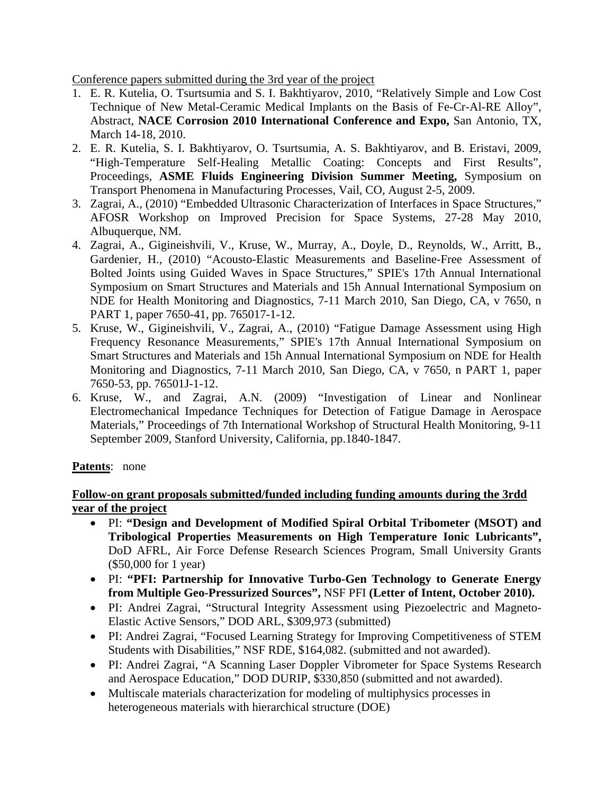Conference papers submitted during the 3rd year of the project

- 1. E. R. Kutelia, O. Tsurtsumia and S. I. Bakhtiyarov, 2010, "Relatively Simple and Low Cost Technique of New Metal-Ceramic Medical Implants on the Basis of Fe-Cr-Al-RE Alloy", Abstract, **NACE Corrosion 2010 International Conference and Expo,** San Antonio, TX, March 14-18, 2010.
- 2. E. R. Kutelia, S. I. Bakhtiyarov, O. Tsurtsumia, A. S. Bakhtiyarov, and B. Eristavi, 2009, "High-Temperature Self-Healing Metallic Coating: Concepts and First Results", Proceedings, **ASME Fluids Engineering Division Summer Meeting,** Symposium on Transport Phenomena in Manufacturing Processes, Vail, CO, August 2-5, 2009.
- 3. Zagrai, A., (2010) "Embedded Ultrasonic Characterization of Interfaces in Space Structures," AFOSR Workshop on Improved Precision for Space Systems, 27-28 May 2010, Albuquerque, NM.
- 4. Zagrai, A., Gigineishvili, V., Kruse, W., Murray, A., Doyle, D., Reynolds, W., Arritt, B., Gardenier, H., (2010) "Acousto-Elastic Measurements and Baseline-Free Assessment of Bolted Joints using Guided Waves in Space Structures," SPIE's 17th Annual International Symposium on Smart Structures and Materials and 15h Annual International Symposium on NDE for Health Monitoring and Diagnostics, 7-11 March 2010, San Diego, CA, v 7650, n PART 1, paper 7650-41, pp. 765017-1-12.
- 5. Kruse, W., Gigineishvili, V., Zagrai, A., (2010) "Fatigue Damage Assessment using High Frequency Resonance Measurements," SPIE's 17th Annual International Symposium on Smart Structures and Materials and 15h Annual International Symposium on NDE for Health Monitoring and Diagnostics, 7-11 March 2010, San Diego, CA, v 7650, n PART 1, paper 7650-53, pp. 76501J-1-12.
- 6. Kruse, W., and Zagrai, A.N. (2009) "Investigation of Linear and Nonlinear Electromechanical Impedance Techniques for Detection of Fatigue Damage in Aerospace Materials," Proceedings of 7th International Workshop of Structural Health Monitoring, 9-11 September 2009, Stanford University, California, pp.1840-1847.

## **Patents**: none

## **Follow-on grant proposals submitted/funded including funding amounts during the 3rdd year of the project**

- PI: **"Design and Development of Modified Spiral Orbital Tribometer (MSOT) and Tribological Properties Measurements on High Temperature Ionic Lubricants",**  DoD AFRL, Air Force Defense Research Sciences Program, Small University Grants (\$50,000 for 1 year)
- PI: **"PFI: Partnership for Innovative Turbo-Gen Technology to Generate Energy from Multiple Geo-Pressurized Sources",** NSF PFI **(Letter of Intent, October 2010).**
- PI: Andrei Zagrai, "Structural Integrity Assessment using Piezoelectric and Magneto-Elastic Active Sensors," DOD ARL, \$309,973 (submitted)
- PI: Andrei Zagrai, "Focused Learning Strategy for Improving Competitiveness of STEM Students with Disabilities," NSF RDE, \$164,082. (submitted and not awarded).
- PI: Andrei Zagrai, "A Scanning Laser Doppler Vibrometer for Space Systems Research and Aerospace Education," DOD DURIP, \$330,850 (submitted and not awarded).
- Multiscale materials characterization for modeling of multiphysics processes in heterogeneous materials with hierarchical structure (DOE)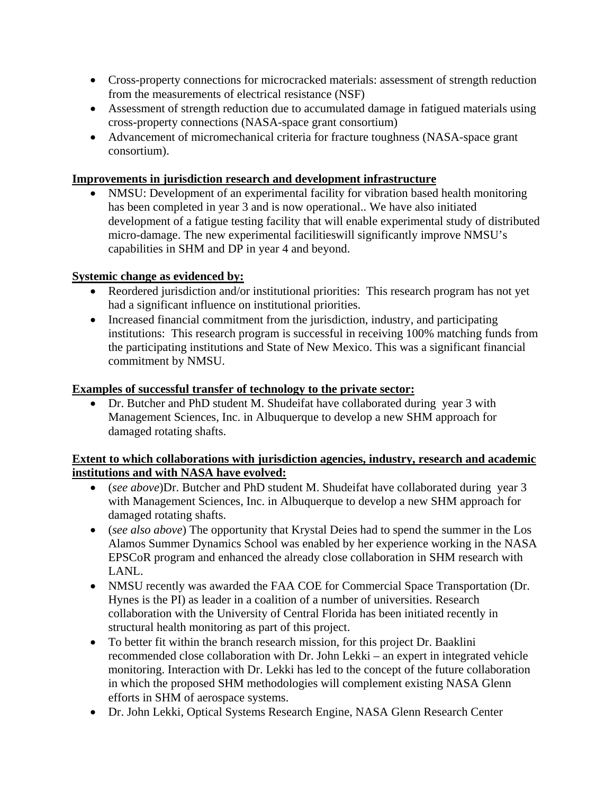- Cross-property connections for microcracked materials: assessment of strength reduction from the measurements of electrical resistance (NSF)
- Assessment of strength reduction due to accumulated damage in fatigued materials using cross-property connections (NASA-space grant consortium)
- Advancement of micromechanical criteria for fracture toughness (NASA-space grant consortium).

# **Improvements in jurisdiction research and development infrastructure**

• NMSU: Development of an experimental facility for vibration based health monitoring has been completed in year 3 and is now operational.. We have also initiated development of a fatigue testing facility that will enable experimental study of distributed micro-damage. The new experimental facilitieswill significantly improve NMSU's capabilities in SHM and DP in year 4 and beyond.

# **Systemic change as evidenced by:**

- Reordered jurisdiction and/or institutional priorities: This research program has not yet had a significant influence on institutional priorities.
- Increased financial commitment from the jurisdiction, industry, and participating institutions: This research program is successful in receiving 100% matching funds from the participating institutions and State of New Mexico. This was a significant financial commitment by NMSU.

## **Examples of successful transfer of technology to the private sector:**

 Dr. Butcher and PhD student M. Shudeifat have collaborated during year 3 with Management Sciences, Inc. in Albuquerque to develop a new SHM approach for damaged rotating shafts.

## **Extent to which collaborations with jurisdiction agencies, industry, research and academic institutions and with NASA have evolved:**

- (*see above*)Dr. Butcher and PhD student M. Shudeifat have collaborated during year 3 with Management Sciences, Inc. in Albuquerque to develop a new SHM approach for damaged rotating shafts.
- (*see also above*) The opportunity that Krystal Deies had to spend the summer in the Los Alamos Summer Dynamics School was enabled by her experience working in the NASA EPSCoR program and enhanced the already close collaboration in SHM research with LANL.
- NMSU recently was awarded the FAA COE for Commercial Space Transportation (Dr. Hynes is the PI) as leader in a coalition of a number of universities. Research collaboration with the University of Central Florida has been initiated recently in structural health monitoring as part of this project.
- To better fit within the branch research mission, for this project Dr. Baaklini recommended close collaboration with Dr. John Lekki – an expert in integrated vehicle monitoring. Interaction with Dr. Lekki has led to the concept of the future collaboration in which the proposed SHM methodologies will complement existing NASA Glenn efforts in SHM of aerospace systems.
- Dr. John Lekki, Optical Systems Research Engine, NASA Glenn Research Center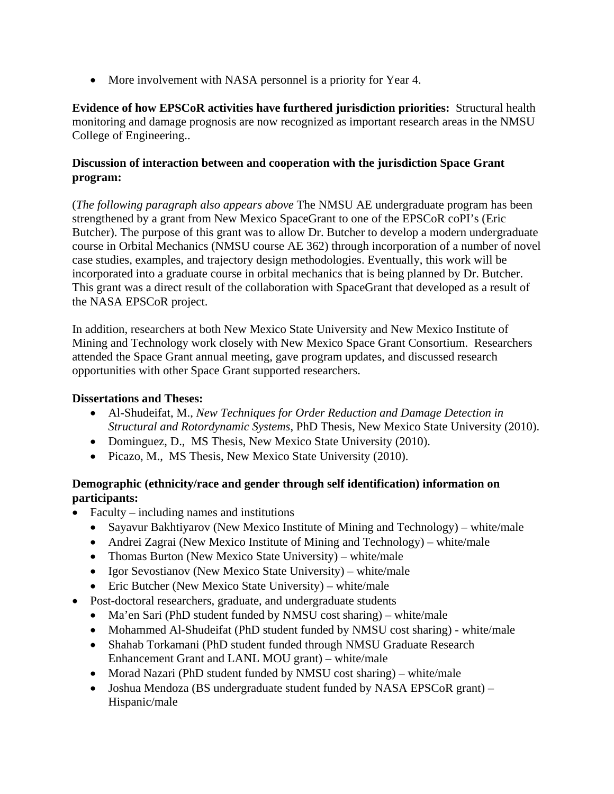• More involvement with NASA personnel is a priority for Year 4.

**Evidence of how EPSCoR activities have furthered jurisdiction priorities:** Structural health monitoring and damage prognosis are now recognized as important research areas in the NMSU College of Engineering..

## **Discussion of interaction between and cooperation with the jurisdiction Space Grant program:**

(*The following paragraph also appears above* The NMSU AE undergraduate program has been strengthened by a grant from New Mexico SpaceGrant to one of the EPSCoR coPI's (Eric Butcher). The purpose of this grant was to allow Dr. Butcher to develop a modern undergraduate course in Orbital Mechanics (NMSU course AE 362) through incorporation of a number of novel case studies, examples, and trajectory design methodologies. Eventually, this work will be incorporated into a graduate course in orbital mechanics that is being planned by Dr. Butcher. This grant was a direct result of the collaboration with SpaceGrant that developed as a result of the NASA EPSCoR project.

In addition, researchers at both New Mexico State University and New Mexico Institute of Mining and Technology work closely with New Mexico Space Grant Consortium. Researchers attended the Space Grant annual meeting, gave program updates, and discussed research opportunities with other Space Grant supported researchers.

## **Dissertations and Theses:**

- Al-Shudeifat, M., *New Techniques for Order Reduction and Damage Detection in Structural and Rotordynamic Systems*, PhD Thesis, New Mexico State University (2010).
- Dominguez, D., MS Thesis, New Mexico State University (2010).
- Picazo, M., MS Thesis, New Mexico State University (2010).

# **Demographic (ethnicity/race and gender through self identification) information on participants:**

- Faculty including names and institutions
	- Sayavur Bakhtiyarov (New Mexico Institute of Mining and Technology) white/male
	- Andrei Zagrai (New Mexico Institute of Mining and Technology) white/male
	- Thomas Burton (New Mexico State University) white/male
	- Igor Sevostianov (New Mexico State University) white/male
	- Eric Butcher (New Mexico State University) white/male
- Post-doctoral researchers, graduate, and undergraduate students
	- Ma'en Sari (PhD student funded by NMSU cost sharing) white/male
	- Mohammed Al-Shudeifat (PhD student funded by NMSU cost sharing) white/male
	- Shahab Torkamani (PhD student funded through NMSU Graduate Research Enhancement Grant and LANL MOU grant) – white/male
	- Morad Nazari (PhD student funded by NMSU cost sharing) white/male
	- Joshua Mendoza (BS undergraduate student funded by NASA EPSCoR grant) Hispanic/male